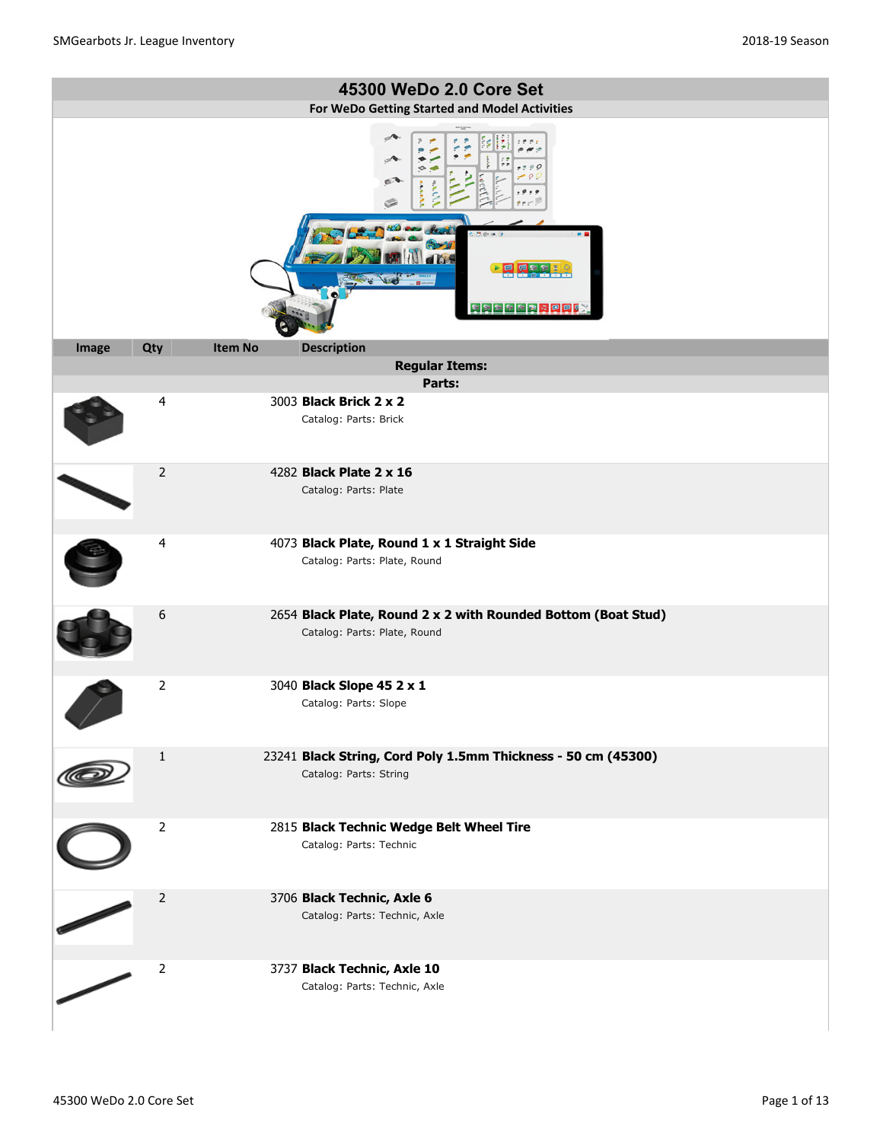|       |                |                | 45300 WeDo 2.0 Core Set                                                                       |
|-------|----------------|----------------|-----------------------------------------------------------------------------------------------|
|       |                |                | For WeDo Getting Started and Model Activities                                                 |
|       |                |                | ✍<br>$^{\circ}$ 0 $^{\circ}$<br>$e^{\tau}$<br>0.0<br>C<br><b>ERSSERDOOF</b>                   |
| Image | Qty            | <b>Item No</b> | <b>Description</b>                                                                            |
|       |                |                | <b>Regular Items:</b>                                                                         |
|       |                |                | Parts:                                                                                        |
|       | 4              |                | 3003 Black Brick 2 x 2<br>Catalog: Parts: Brick                                               |
|       | $\overline{2}$ |                | 4282 <b>Black Plate 2 x 16</b><br>Catalog: Parts: Plate                                       |
|       | 4              |                | 4073 Black Plate, Round 1 x 1 Straight Side<br>Catalog: Parts: Plate, Round                   |
|       | 6              |                | 2654 Black Plate, Round 2 x 2 with Rounded Bottom (Boat Stud)<br>Catalog: Parts: Plate, Round |
|       | $\overline{2}$ |                | 3040 Black Slope 45 2 x 1<br>Catalog: Parts: Slope                                            |
|       | $\mathbf{1}$   |                | 23241 Black String, Cord Poly 1.5mm Thickness - 50 cm (45300)<br>Catalog: Parts: String       |
|       | $\overline{2}$ |                | 2815 Black Technic Wedge Belt Wheel Tire<br>Catalog: Parts: Technic                           |
|       | $\overline{2}$ |                | 3706 Black Technic, Axle 6<br>Catalog: Parts: Technic, Axle                                   |
|       | $\overline{2}$ |                | 3737 Black Technic, Axle 10<br>Catalog: Parts: Technic, Axle                                  |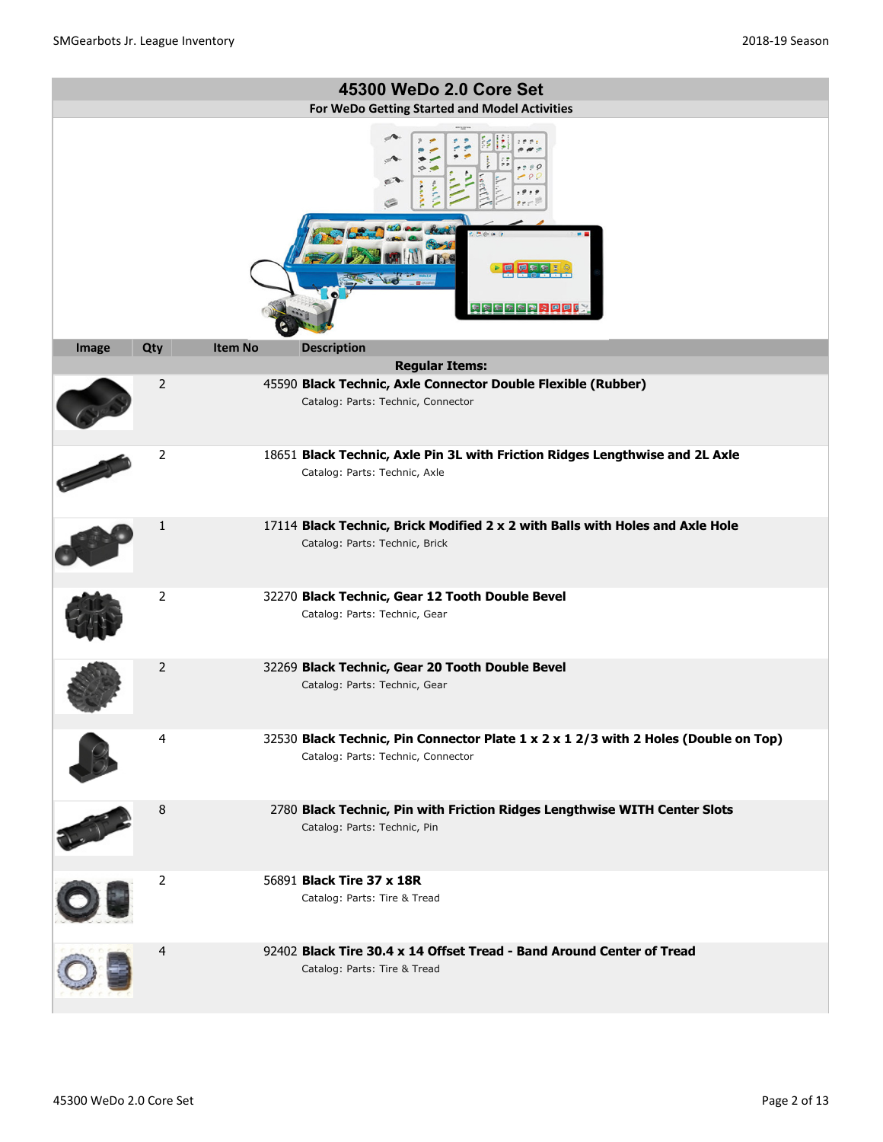|                |                |                | 45300 WeDo 2.0 Core Set                                                                                                   |
|----------------|----------------|----------------|---------------------------------------------------------------------------------------------------------------------------|
|                |                |                | For WeDo Getting Started and Model Activities                                                                             |
|                |                |                | e<br>日報を開けると同じ                                                                                                            |
| Image          | Qty            | <b>Item No</b> | <b>Description</b><br><b>Regular Items:</b>                                                                               |
|                | 2              |                | 45590 Black Technic, Axle Connector Double Flexible (Rubber)                                                              |
|                |                |                | Catalog: Parts: Technic, Connector                                                                                        |
|                | $\overline{2}$ |                | 18651 Black Technic, Axle Pin 3L with Friction Ridges Lengthwise and 2L Axle                                              |
|                |                |                | Catalog: Parts: Technic, Axle                                                                                             |
|                | 1              |                | 17114 Black Technic, Brick Modified 2 x 2 with Balls with Holes and Axle Hole<br>Catalog: Parts: Technic, Brick           |
|                | $\overline{2}$ |                | 32270 Black Technic, Gear 12 Tooth Double Bevel<br>Catalog: Parts: Technic, Gear                                          |
|                | 2              |                | 32269 Black Technic, Gear 20 Tooth Double Bevel<br>Catalog: Parts: Technic, Gear                                          |
| $\blacksquare$ | 4              |                | 32530 Black Technic, Pin Connector Plate 1 x 2 x 1 2/3 with 2 Holes (Double on Top)<br>Catalog: Parts: Technic, Connector |
| LI             | 8              |                | 2780 Black Technic, Pin with Friction Ridges Lengthwise WITH Center Slots<br>Catalog: Parts: Technic, Pin                 |
|                | 2              |                | 56891 Black Tire 37 x 18R<br>Catalog: Parts: Tire & Tread                                                                 |
|                | $\overline{4}$ |                | 92402 Black Tire 30.4 x 14 Offset Tread - Band Around Center of Tread<br>Catalog: Parts: Tire & Tread                     |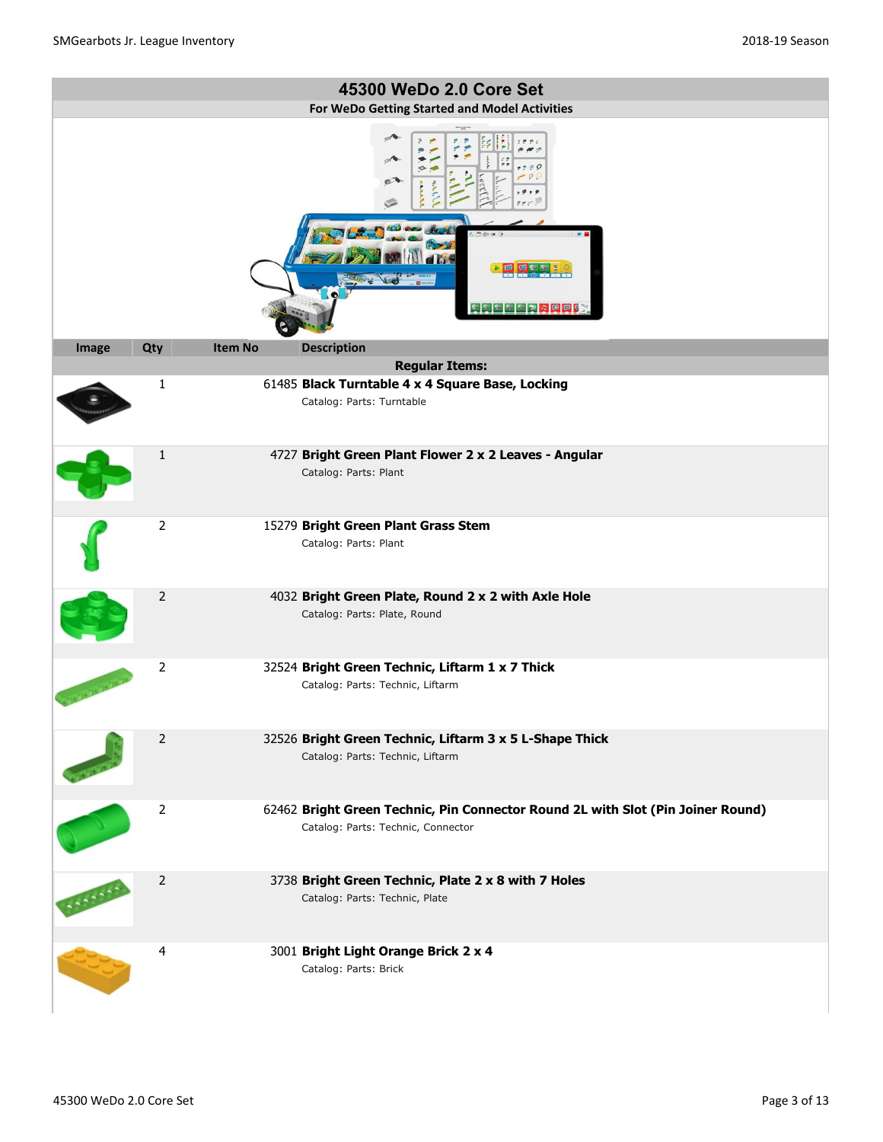|         |                                                                  |                | 45300 WeDo 2.0 Core Set                                                                                               |  |  |
|---------|------------------------------------------------------------------|----------------|-----------------------------------------------------------------------------------------------------------------------|--|--|
|         |                                                                  |                |                                                                                                                       |  |  |
|         | For WeDo Getting Started and Model Activities<br>e<br>医阿尔尔氏菌素原原菌 |                |                                                                                                                       |  |  |
| Image   | Qty                                                              | <b>Item No</b> | <b>Description</b>                                                                                                    |  |  |
|         |                                                                  |                | <b>Regular Items:</b>                                                                                                 |  |  |
|         | 1                                                                |                | 61485 Black Turntable 4 x 4 Square Base, Locking<br>Catalog: Parts: Turntable                                         |  |  |
|         | $\mathbf{1}$                                                     |                | 4727 Bright Green Plant Flower 2 x 2 Leaves - Angular<br>Catalog: Parts: Plant                                        |  |  |
|         | $\overline{2}$                                                   |                | 15279 Bright Green Plant Grass Stem<br>Catalog: Parts: Plant                                                          |  |  |
|         | 2                                                                |                | 4032 Bright Green Plate, Round 2 x 2 with Axle Hole<br>Catalog: Parts: Plate, Round                                   |  |  |
|         | 2                                                                |                | 32524 Bright Green Technic, Liftarm 1 x 7 Thick<br>Catalog: Parts: Technic, Liftarm                                   |  |  |
|         | $\overline{2}$                                                   |                | 32526 Bright Green Technic, Liftarm 3 x 5 L-Shape Thick<br>Catalog: Parts: Technic, Liftarm                           |  |  |
| Carmell | 2                                                                |                | 62462 Bright Green Technic, Pin Connector Round 2L with Slot (Pin Joiner Round)<br>Catalog: Parts: Technic, Connector |  |  |
|         | $\overline{2}$                                                   |                | 3738 Bright Green Technic, Plate 2 x 8 with 7 Holes<br>Catalog: Parts: Technic, Plate                                 |  |  |
|         | 4                                                                |                | 3001 Bright Light Orange Brick 2 x 4<br>Catalog: Parts: Brick                                                         |  |  |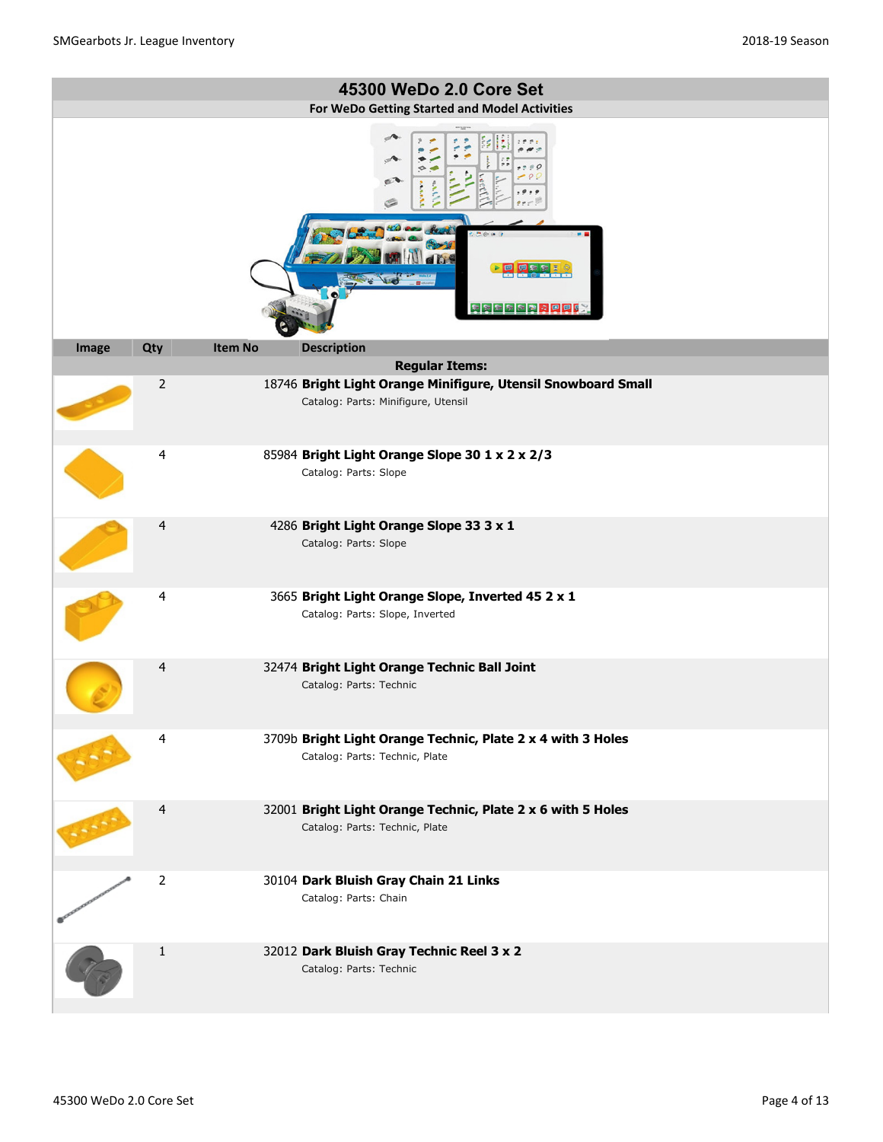|       |                                                                  |                | 45300 WeDo 2.0 Core Set                                                                              |  |  |  |
|-------|------------------------------------------------------------------|----------------|------------------------------------------------------------------------------------------------------|--|--|--|
|       |                                                                  |                |                                                                                                      |  |  |  |
|       | For WeDo Getting Started and Model Activities<br>e<br>医阿尔尔氏菌素回回的 |                |                                                                                                      |  |  |  |
| Image | Qty                                                              | <b>Item No</b> | <b>Description</b>                                                                                   |  |  |  |
|       |                                                                  |                | <b>Regular Items:</b>                                                                                |  |  |  |
|       | $\overline{2}$                                                   |                | 18746 Bright Light Orange Minifigure, Utensil Snowboard Small<br>Catalog: Parts: Minifigure, Utensil |  |  |  |
|       | $\overline{4}$                                                   |                | 85984 Bright Light Orange Slope 30 1 x 2 x 2/3<br>Catalog: Parts: Slope                              |  |  |  |
|       | 4                                                                |                | 4286 Bright Light Orange Slope 33 3 x 1<br>Catalog: Parts: Slope                                     |  |  |  |
|       | 4                                                                |                | 3665 Bright Light Orange Slope, Inverted 45 2 x 1<br>Catalog: Parts: Slope, Inverted                 |  |  |  |
|       | 4                                                                |                | 32474 Bright Light Orange Technic Ball Joint<br>Catalog: Parts: Technic                              |  |  |  |
|       | 4                                                                |                | 3709b Bright Light Orange Technic, Plate 2 x 4 with 3 Holes<br>Catalog: Parts: Technic, Plate        |  |  |  |
|       | 4                                                                |                | 32001 Bright Light Orange Technic, Plate 2 x 6 with 5 Holes<br>Catalog: Parts: Technic, Plate        |  |  |  |
|       | $\overline{2}$                                                   |                | 30104 Dark Bluish Gray Chain 21 Links<br>Catalog: Parts: Chain                                       |  |  |  |
|       | 1                                                                |                | 32012 Dark Bluish Gray Technic Reel 3 x 2<br>Catalog: Parts: Technic                                 |  |  |  |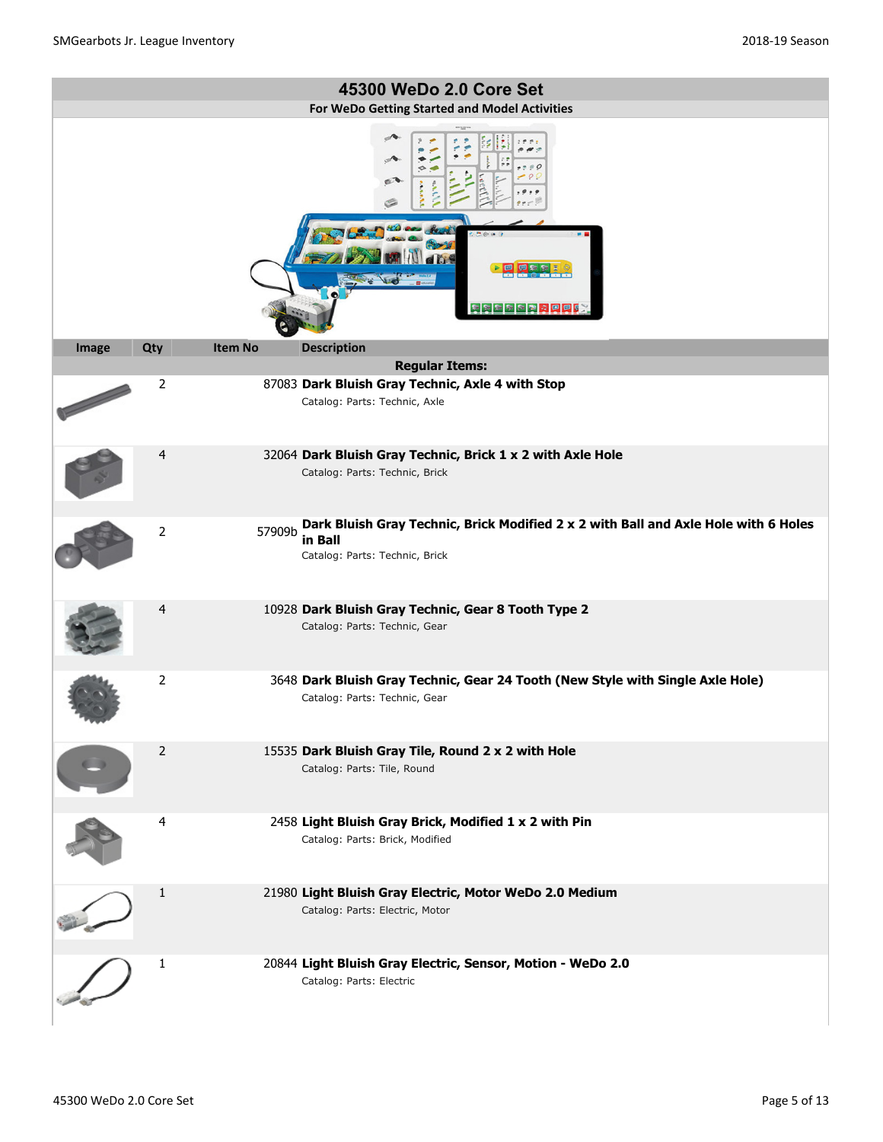|       |                |                | 45300 WeDo 2.0 Core Set                                                                                                          |
|-------|----------------|----------------|----------------------------------------------------------------------------------------------------------------------------------|
|       |                |                | For WeDo Getting Started and Model Activities                                                                                    |
|       |                |                | ✍<br>医尿病病病者心理理                                                                                                                   |
| Image | Qty            | <b>Item No</b> | <b>Description</b>                                                                                                               |
|       |                |                | <b>Regular Items:</b>                                                                                                            |
|       | 2              |                | 87083 Dark Bluish Gray Technic, Axle 4 with Stop<br>Catalog: Parts: Technic, Axle                                                |
|       | 4              |                | 32064 Dark Bluish Gray Technic, Brick 1 x 2 with Axle Hole<br>Catalog: Parts: Technic, Brick                                     |
|       | $\overline{2}$ | 57909b         | Dark Bluish Gray Technic, Brick Modified 2 x 2 with Ball and Axle Hole with 6 Holes<br>in Ball<br>Catalog: Parts: Technic, Brick |
|       | 4              |                | 10928 Dark Bluish Gray Technic, Gear 8 Tooth Type 2<br>Catalog: Parts: Technic, Gear                                             |
|       | $\overline{2}$ |                | 3648 Dark Bluish Gray Technic, Gear 24 Tooth (New Style with Single Axle Hole)<br>Catalog: Parts: Technic, Gear                  |
|       | 2              |                | 15535 Dark Bluish Gray Tile, Round 2 x 2 with Hole<br>Catalog: Parts: Tile, Round                                                |
|       | 4              |                | 2458 Light Bluish Gray Brick, Modified 1 x 2 with Pin<br>Catalog: Parts: Brick, Modified                                         |
|       | $\mathbf{1}$   |                | 21980 Light Bluish Gray Electric, Motor WeDo 2.0 Medium<br>Catalog: Parts: Electric, Motor                                       |
|       | 1              |                | 20844 Light Bluish Gray Electric, Sensor, Motion - WeDo 2.0<br>Catalog: Parts: Electric                                          |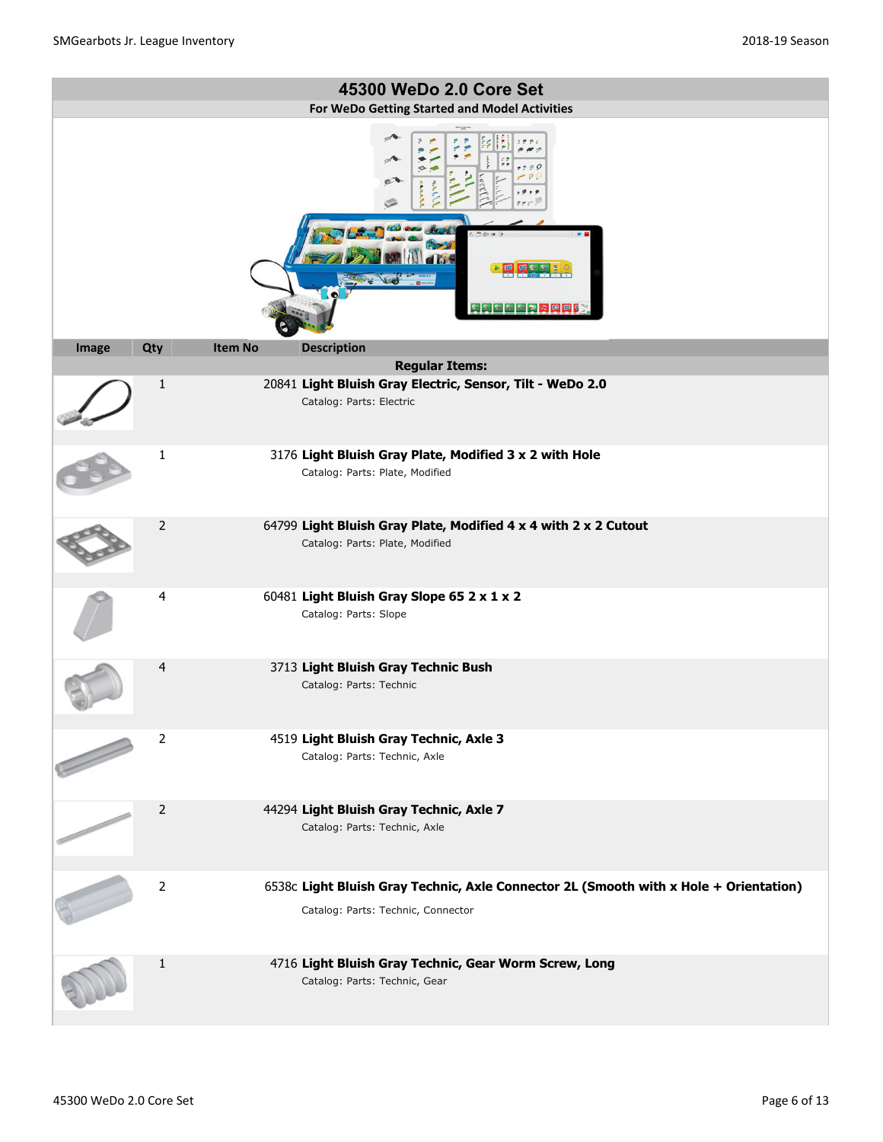|       |                |                | 45300 WeDo 2.0 Core Set                                                                                                     |
|-------|----------------|----------------|-----------------------------------------------------------------------------------------------------------------------------|
|       |                |                | For WeDo Getting Started and Model Activities                                                                               |
|       |                |                | e<br>도 전 제 제 제 전 <mark>경 이 면 면</mark> 데                                                                                     |
| Image | Qty            | <b>Item No</b> | <b>Description</b>                                                                                                          |
|       |                |                | <b>Regular Items:</b>                                                                                                       |
|       | $\mathbf{1}$   |                | 20841 Light Bluish Gray Electric, Sensor, Tilt - WeDo 2.0<br>Catalog: Parts: Electric                                       |
|       | 1              |                | 3176 Light Bluish Gray Plate, Modified 3 x 2 with Hole<br>Catalog: Parts: Plate, Modified                                   |
|       | 2              |                | 64799 Light Bluish Gray Plate, Modified 4 x 4 with 2 x 2 Cutout<br>Catalog: Parts: Plate, Modified                          |
|       | 4              |                | 60481 Light Bluish Gray Slope 65 2 x 1 x 2<br>Catalog: Parts: Slope                                                         |
|       | 4              |                | 3713 Light Bluish Gray Technic Bush<br>Catalog: Parts: Technic                                                              |
|       | $\overline{2}$ |                | 4519 Light Bluish Gray Technic, Axle 3<br>Catalog: Parts: Technic, Axle                                                     |
|       | $\overline{2}$ |                | 44294 Light Bluish Gray Technic, Axle 7<br>Catalog: Parts: Technic, Axle                                                    |
|       | $\overline{2}$ |                | 6538c Light Bluish Gray Technic, Axle Connector 2L (Smooth with x Hole + Orientation)<br>Catalog: Parts: Technic, Connector |
|       | $\mathbf{1}$   |                | 4716 Light Bluish Gray Technic, Gear Worm Screw, Long<br>Catalog: Parts: Technic, Gear                                      |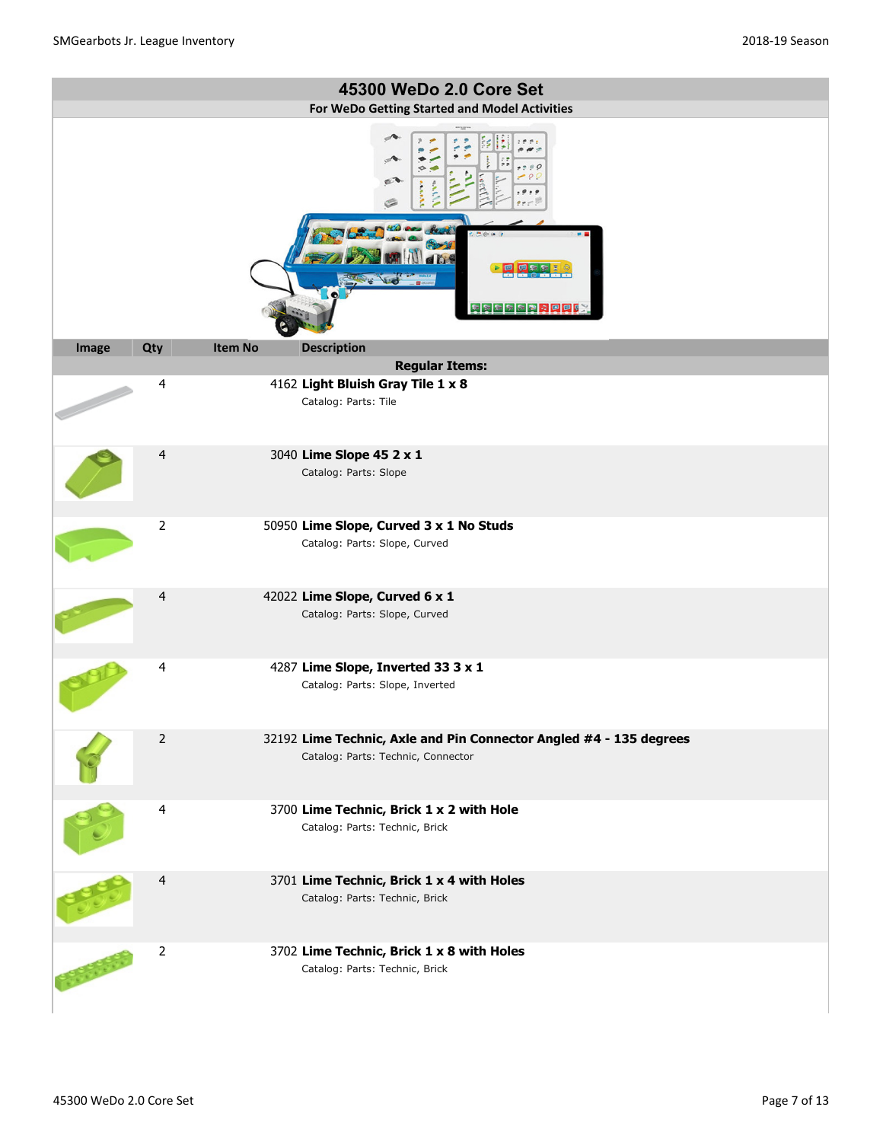|       |                                               |                | 45300 WeDo 2.0 Core Set                                                                                  |  |  |  |
|-------|-----------------------------------------------|----------------|----------------------------------------------------------------------------------------------------------|--|--|--|
|       | For WeDo Getting Started and Model Activities |                |                                                                                                          |  |  |  |
|       |                                               |                | Ó<br>医阿尔尔氏菌素原原菌                                                                                          |  |  |  |
| Image | Qty                                           | <b>Item No</b> | <b>Description</b>                                                                                       |  |  |  |
|       |                                               |                | <b>Regular Items:</b>                                                                                    |  |  |  |
|       | 4                                             |                | 4162 Light Bluish Gray Tile 1 x 8<br>Catalog: Parts: Tile                                                |  |  |  |
|       | 4                                             |                | 3040 Lime Slope 45 2 x 1<br>Catalog: Parts: Slope                                                        |  |  |  |
|       | $\overline{2}$                                |                | 50950 Lime Slope, Curved 3 x 1 No Studs<br>Catalog: Parts: Slope, Curved                                 |  |  |  |
|       | 4                                             |                | 42022 Lime Slope, Curved 6 x 1<br>Catalog: Parts: Slope, Curved                                          |  |  |  |
|       | 4                                             |                | 4287 Lime Slope, Inverted 33 3 x 1<br>Catalog: Parts: Slope, Inverted                                    |  |  |  |
|       | $\overline{2}$                                |                | 32192 Lime Technic, Axle and Pin Connector Angled #4 - 135 degrees<br>Catalog: Parts: Technic, Connector |  |  |  |
|       | 4                                             |                | 3700 Lime Technic, Brick 1 x 2 with Hole<br>Catalog: Parts: Technic, Brick                               |  |  |  |
|       | 4                                             |                | 3701 Lime Technic, Brick 1 x 4 with Holes<br>Catalog: Parts: Technic, Brick                              |  |  |  |
|       | $\mathbf 2$                                   |                | 3702 Lime Technic, Brick 1 x 8 with Holes<br>Catalog: Parts: Technic, Brick                              |  |  |  |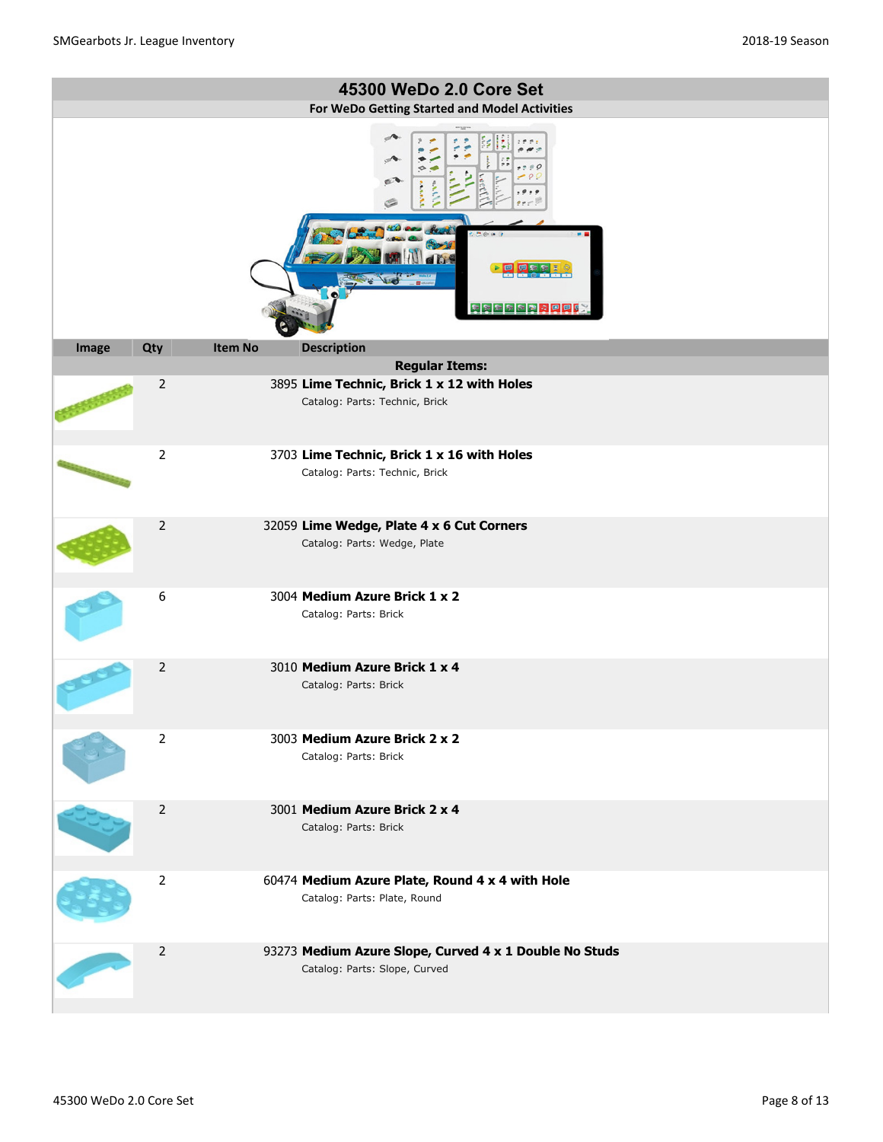|       |                |                | 45300 WeDo 2.0 Core Set                                                                 |
|-------|----------------|----------------|-----------------------------------------------------------------------------------------|
|       |                |                | For WeDo Getting Started and Model Activities                                           |
|       |                |                | e<br>医尿病病病病病病原因                                                                         |
| Image | Qty            | <b>Item No</b> | <b>Description</b>                                                                      |
|       |                |                | <b>Regular Items:</b>                                                                   |
|       | $\overline{2}$ |                | 3895 Lime Technic, Brick 1 x 12 with Holes<br>Catalog: Parts: Technic, Brick            |
|       | $\overline{2}$ |                | 3703 Lime Technic, Brick 1 x 16 with Holes                                              |
|       |                |                | Catalog: Parts: Technic, Brick                                                          |
|       | $\overline{2}$ |                | 32059 Lime Wedge, Plate 4 x 6 Cut Corners<br>Catalog: Parts: Wedge, Plate               |
|       | 6              |                | 3004 Medium Azure Brick 1 x 2<br>Catalog: Parts: Brick                                  |
|       | $\overline{2}$ |                | 3010 Medium Azure Brick 1 x 4<br>Catalog: Parts: Brick                                  |
|       | $\overline{2}$ |                | 3003 Medium Azure Brick 2 x 2<br>Catalog: Parts: Brick                                  |
|       | $\overline{2}$ |                | 3001 Medium Azure Brick 2 x 4<br>Catalog: Parts: Brick                                  |
|       | $\overline{2}$ |                | 60474 Medium Azure Plate, Round 4 x 4 with Hole<br>Catalog: Parts: Plate, Round         |
|       | $\overline{2}$ |                | 93273 Medium Azure Slope, Curved 4 x 1 Double No Studs<br>Catalog: Parts: Slope, Curved |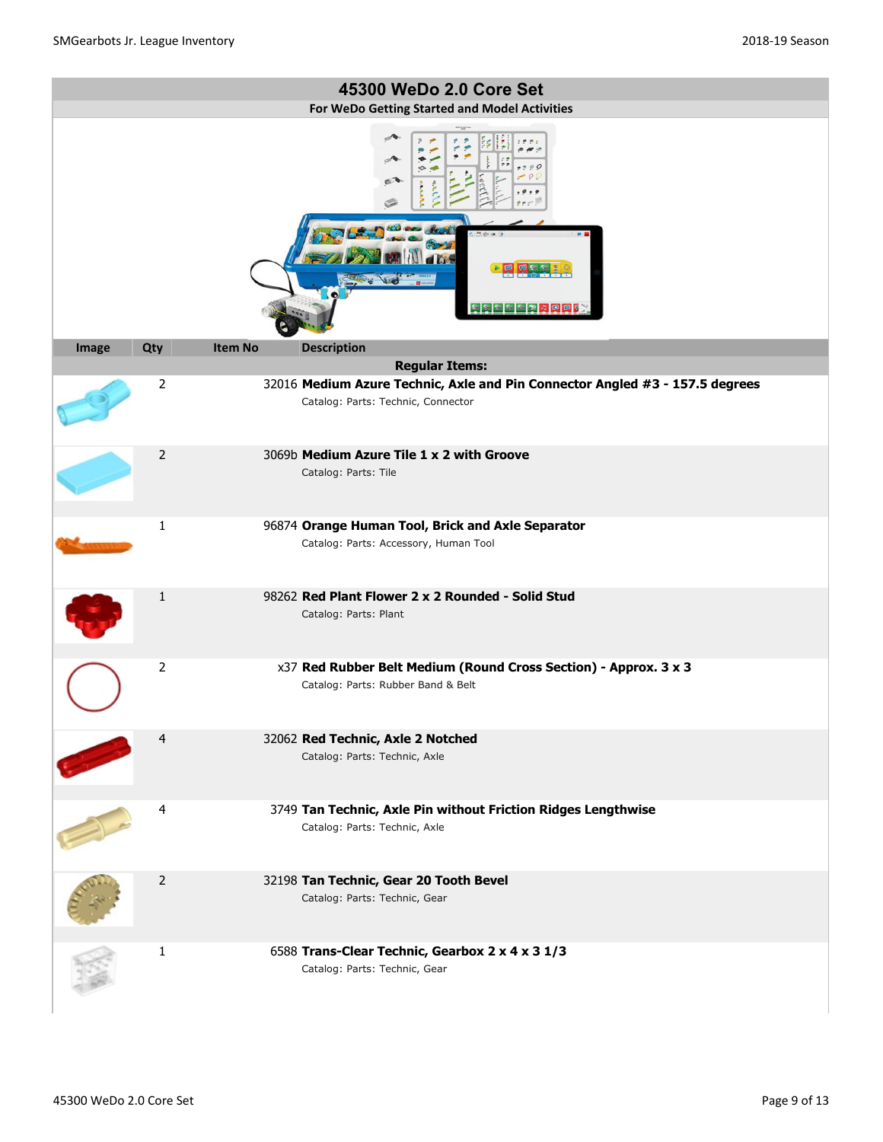|       |                         |                | 45300 WeDo 2.0 Core Set                                                                                            |
|-------|-------------------------|----------------|--------------------------------------------------------------------------------------------------------------------|
|       |                         |                | For WeDo Getting Started and Model Activities<br>e <sub>1</sub><br>医尿病病病毒内回回肠                                      |
| Image | Qty                     | <b>Item No</b> | <b>Description</b>                                                                                                 |
|       |                         |                | <b>Regular Items:</b>                                                                                              |
|       | $\overline{2}$          |                | 32016 Medium Azure Technic, Axle and Pin Connector Angled #3 - 157.5 degrees<br>Catalog: Parts: Technic, Connector |
|       | 2                       |                | 3069b Medium Azure Tile 1 x 2 with Groove                                                                          |
|       |                         |                | Catalog: Parts: Tile                                                                                               |
|       | $\mathbf{1}$            |                | 96874 Orange Human Tool, Brick and Axle Separator<br>Catalog: Parts: Accessory, Human Tool                         |
|       | $\mathbf{1}$            |                | 98262 Red Plant Flower 2 x 2 Rounded - Solid Stud<br>Catalog: Parts: Plant                                         |
|       | $\overline{2}$          |                | x37 Red Rubber Belt Medium (Round Cross Section) - Approx. 3 x 3<br>Catalog: Parts: Rubber Band & Belt             |
|       | $\overline{4}$          |                | 32062 Red Technic, Axle 2 Notched                                                                                  |
|       |                         |                | Catalog: Parts: Technic, Axle                                                                                      |
|       | $\overline{\mathbf{4}}$ |                | 3749 Tan Technic, Axle Pin without Friction Ridges Lengthwise<br>Catalog: Parts: Technic, Axle                     |
|       | 2                       |                | 32198 Tan Technic, Gear 20 Tooth Bevel<br>Catalog: Parts: Technic, Gear                                            |
|       | 1                       |                | 6588 Trans-Clear Technic, Gearbox 2 x 4 x 3 1/3<br>Catalog: Parts: Technic, Gear                                   |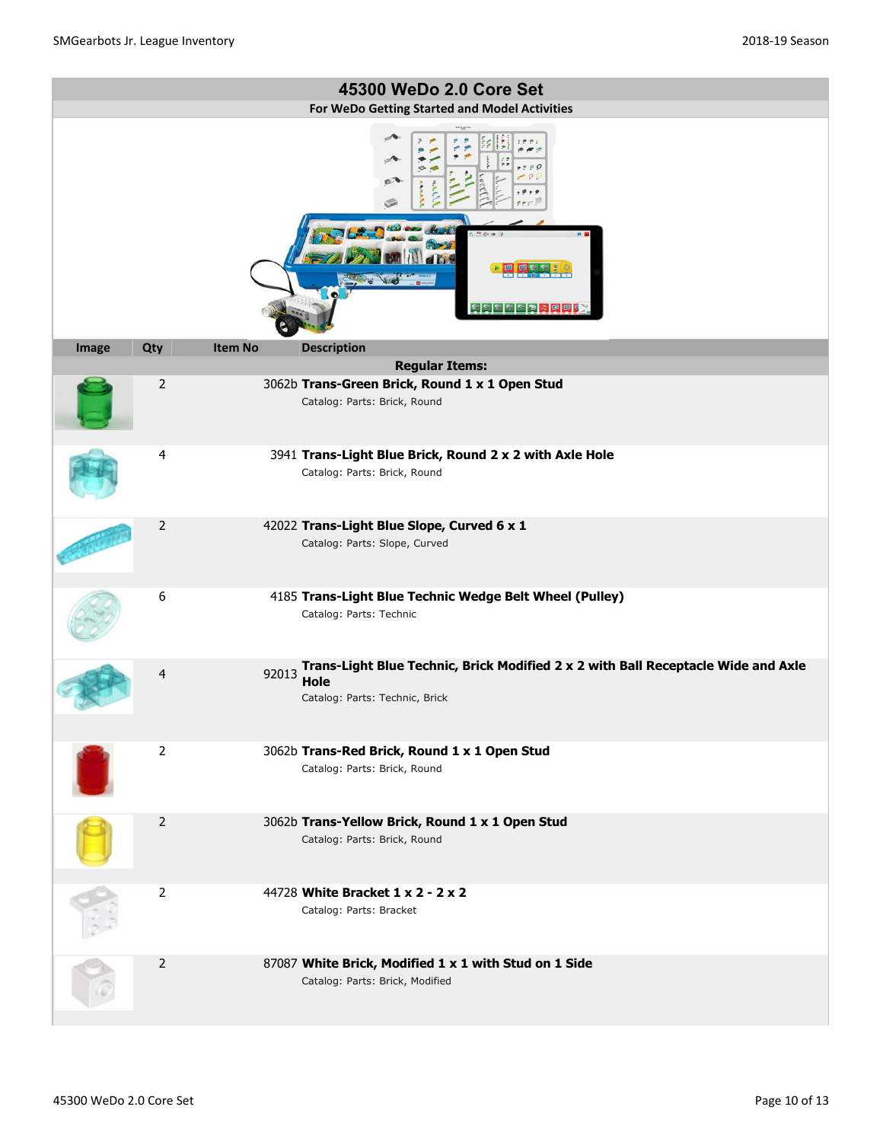|       |                |                | 45300 WeDo 2.0 Core Set                                                                                                     |
|-------|----------------|----------------|-----------------------------------------------------------------------------------------------------------------------------|
|       |                |                | For WeDo Getting Started and Model Activities                                                                               |
|       |                |                | e<br>医尿病病医胃内回回的                                                                                                             |
| Image | Qty            | <b>Item No</b> | <b>Description</b>                                                                                                          |
|       |                |                | <b>Regular Items:</b>                                                                                                       |
|       | $\overline{2}$ |                | 3062b Trans-Green Brick, Round 1 x 1 Open Stud<br>Catalog: Parts: Brick, Round                                              |
|       | 4              |                | 3941 Trans-Light Blue Brick, Round 2 x 2 with Axle Hole<br>Catalog: Parts: Brick, Round                                     |
|       | 2              |                | 42022 Trans-Light Blue Slope, Curved 6 x 1<br>Catalog: Parts: Slope, Curved                                                 |
|       | 6              |                | 4185 Trans-Light Blue Technic Wedge Belt Wheel (Pulley)<br>Catalog: Parts: Technic                                          |
|       | 4              | 92013          | Trans-Light Blue Technic, Brick Modified 2 x 2 with Ball Receptacle Wide and Axle<br>Hole<br>Catalog: Parts: Technic, Brick |
| U     | $\overline{2}$ |                | 3062b Trans-Red Brick, Round 1 x 1 Open Stud<br>Catalog: Parts: Brick, Round                                                |
|       | 2              |                | 3062b Trans-Yellow Brick, Round 1 x 1 Open Stud<br>Catalog: Parts: Brick, Round                                             |
|       | $\overline{2}$ |                | 44728 White Bracket 1 x 2 - 2 x 2<br>Catalog: Parts: Bracket                                                                |
|       | $\overline{2}$ |                | 87087 White Brick, Modified 1 x 1 with Stud on 1 Side<br>Catalog: Parts: Brick, Modified                                    |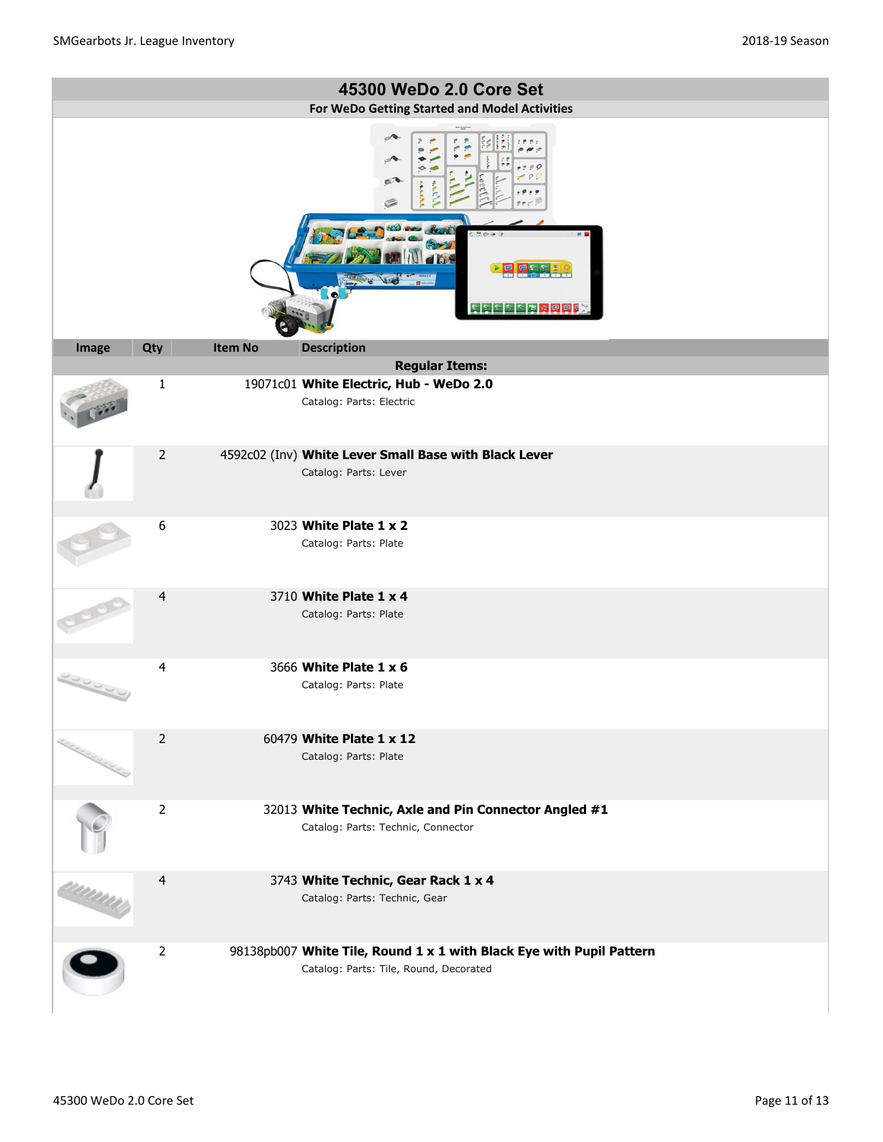|                                |                |                | 45300 WeDo 2.0 Core Set                                                                                        |
|--------------------------------|----------------|----------------|----------------------------------------------------------------------------------------------------------------|
|                                |                |                | For WeDo Getting Started and Model Activities                                                                  |
|                                |                |                | e<br><b>ERBBERRPPC</b>                                                                                         |
| Image                          | Qty            | <b>Item No</b> | <b>Description</b>                                                                                             |
|                                |                |                | <b>Regular Items:</b>                                                                                          |
|                                | $\mathbf{1}$   |                | 19071c01 White Electric, Hub - WeDo 2.0<br>Catalog: Parts: Electric                                            |
|                                | 2              |                | 4592c02 (Inv) White Lever Small Base with Black Lever                                                          |
|                                |                |                | Catalog: Parts: Lever                                                                                          |
|                                | 6              |                | 3023 White Plate 1 x 2<br>Catalog: Parts: Plate                                                                |
|                                | 4              |                | 3710 White Plate 1 x 4<br>Catalog: Parts: Plate                                                                |
|                                | 4              |                | 3666 White Plate 1 x 6<br>Catalog: Parts: Plate                                                                |
| <b>Control Control Control</b> | $\overline{2}$ |                | 60479 White Plate 1 x 12<br>Catalog: Parts: Plate                                                              |
|                                | $\overline{2}$ |                | 32013 White Technic, Axle and Pin Connector Angled #1<br>Catalog: Parts: Technic, Connector                    |
|                                | $\overline{4}$ |                | 3743 White Technic, Gear Rack 1 x 4<br>Catalog: Parts: Technic, Gear                                           |
|                                | $\overline{2}$ |                | 98138pb007 White Tile, Round 1 x 1 with Black Eye with Pupil Pattern<br>Catalog: Parts: Tile, Round, Decorated |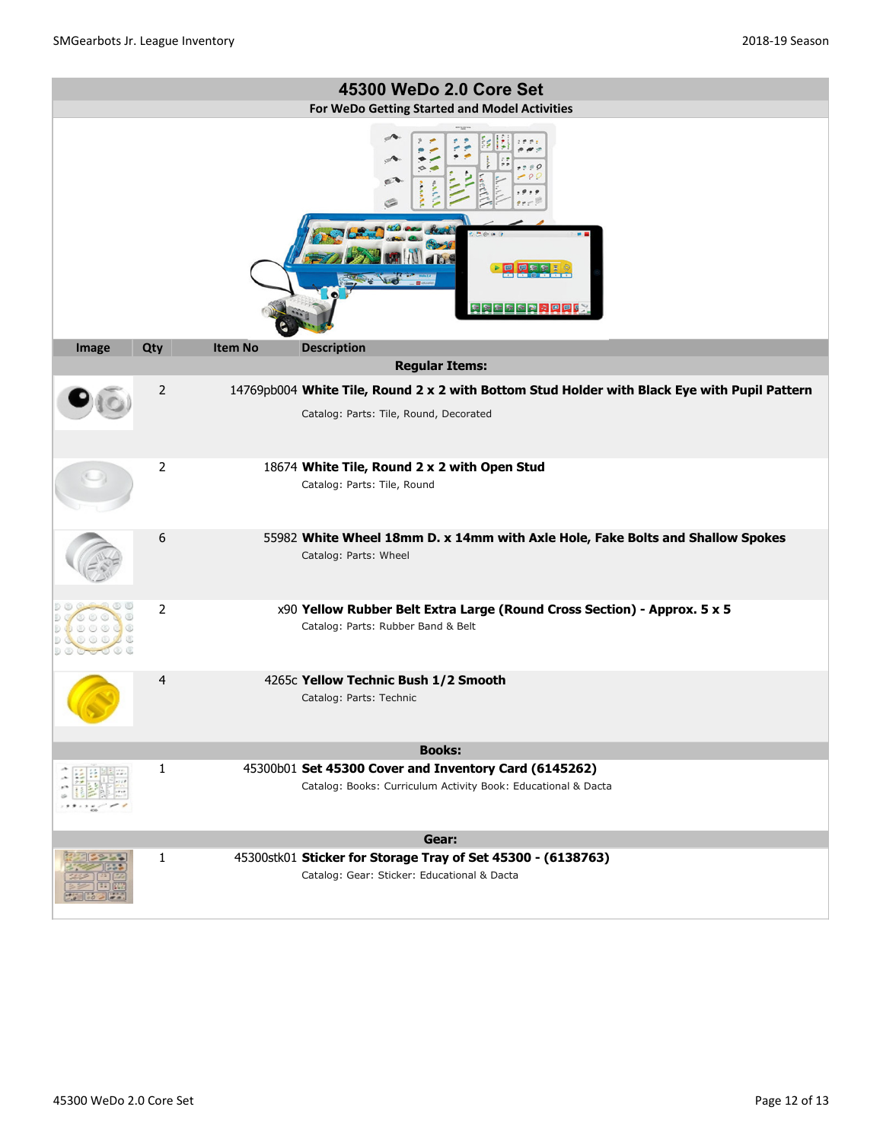|       | 45300 WeDo 2.0 Core Set |                |                                                                                                                                        |  |  |  |
|-------|-------------------------|----------------|----------------------------------------------------------------------------------------------------------------------------------------|--|--|--|
|       |                         |                | For WeDo Getting Started and Model Activities<br>医阿尔尔氏菌素四回肠                                                                            |  |  |  |
| Image | Qty                     | <b>Item No</b> | <b>Description</b>                                                                                                                     |  |  |  |
|       |                         |                | <b>Regular Items:</b>                                                                                                                  |  |  |  |
|       | 2                       |                | 14769pb004 White Tile, Round 2 x 2 with Bottom Stud Holder with Black Eye with Pupil Pattern<br>Catalog: Parts: Tile, Round, Decorated |  |  |  |
|       | $\overline{2}$          |                | 18674 White Tile, Round 2 x 2 with Open Stud<br>Catalog: Parts: Tile, Round                                                            |  |  |  |
|       | 6                       |                | 55982 White Wheel 18mm D. x 14mm with Axle Hole, Fake Bolts and Shallow Spokes<br>Catalog: Parts: Wheel                                |  |  |  |
|       | $\overline{2}$          |                | x90 Yellow Rubber Belt Extra Large (Round Cross Section) - Approx. 5 x 5<br>Catalog: Parts: Rubber Band & Belt                         |  |  |  |
|       | 4                       |                | 4265c Yellow Technic Bush 1/2 Smooth<br>Catalog: Parts: Technic                                                                        |  |  |  |
|       |                         |                | <b>Books:</b>                                                                                                                          |  |  |  |
|       | 1                       |                | 45300b01 Set 45300 Cover and Inventory Card (6145262)<br>Catalog: Books: Curriculum Activity Book: Educational & Dacta                 |  |  |  |
|       |                         |                | Gear:                                                                                                                                  |  |  |  |
|       | 1                       |                | 45300stk01 Sticker for Storage Tray of Set 45300 - (6138763)<br>Catalog: Gear: Sticker: Educational & Dacta                            |  |  |  |